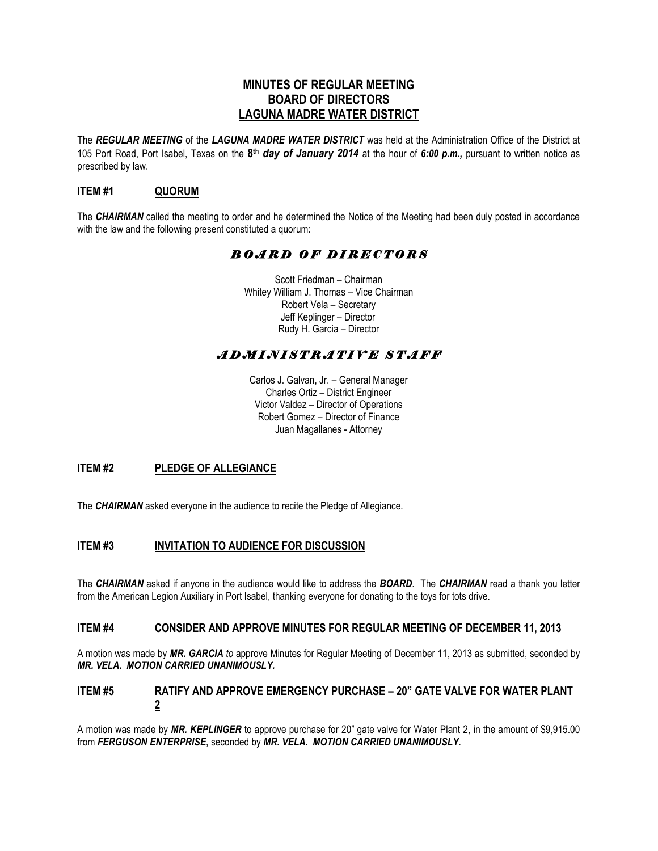# **MINUTES OF REGULAR MEETING BOARD OF DIRECTORS LAGUNA MADRE WATER DISTRICT**

The *REGULAR MEETING* of the *LAGUNA MADRE WATER DISTRICT* was held at the Administration Office of the District at 105 Port Road, Port Isabel, Texas on the **8 th** *day of January 2014* at the hour of *6:00 p.m.,* pursuant to written notice as prescribed by law.

# **ITEM #1 QUORUM**

The *CHAIRMAN* called the meeting to order and he determined the Notice of the Meeting had been duly posted in accordance with the law and the following present constituted a quorum:

# *B O A R D O F D I R E C T O R S*

Scott Friedman – Chairman Whitey William J. Thomas – Vice Chairman Robert Vela – Secretary Jeff Keplinger – Director Rudy H. Garcia – Director

# *A D M I N I S T R A T I V E S T A F F*

Carlos J. Galvan, Jr. – General Manager Charles Ortiz – District Engineer Victor Valdez – Director of Operations Robert Gomez – Director of Finance Juan Magallanes - Attorney

# **ITEM #2 PLEDGE OF ALLEGIANCE**

The *CHAIRMAN* asked everyone in the audience to recite the Pledge of Allegiance.

# **ITEM #3 INVITATION TO AUDIENCE FOR DISCUSSION**

The *CHAIRMAN* asked if anyone in the audience would like to address the *BOARD*. The *CHAIRMAN* read a thank you letter from the American Legion Auxiliary in Port Isabel, thanking everyone for donating to the toys for tots drive.

### **ITEM #4 CONSIDER AND APPROVE MINUTES FOR REGULAR MEETING OF DECEMBER 11, 2013**

A motion was made by *MR. GARCIA to* approve Minutes for Regular Meeting of December 11, 2013 as submitted, seconded by *MR. VELA. MOTION CARRIED UNANIMOUSLY.*

### **ITEM #5 RATIFY AND APPROVE EMERGENCY PURCHASE - 20" GATE VALVE FOR WATER PLANT 2**

A motion was made by *MR. KEPLINGER* to approve purchase for 20" gate valve for Water Plant 2, in the amount of \$9,915.00 from *FERGUSON ENTERPRISE*, seconded by *MR. VELA. MOTION CARRIED UNANIMOUSLY*.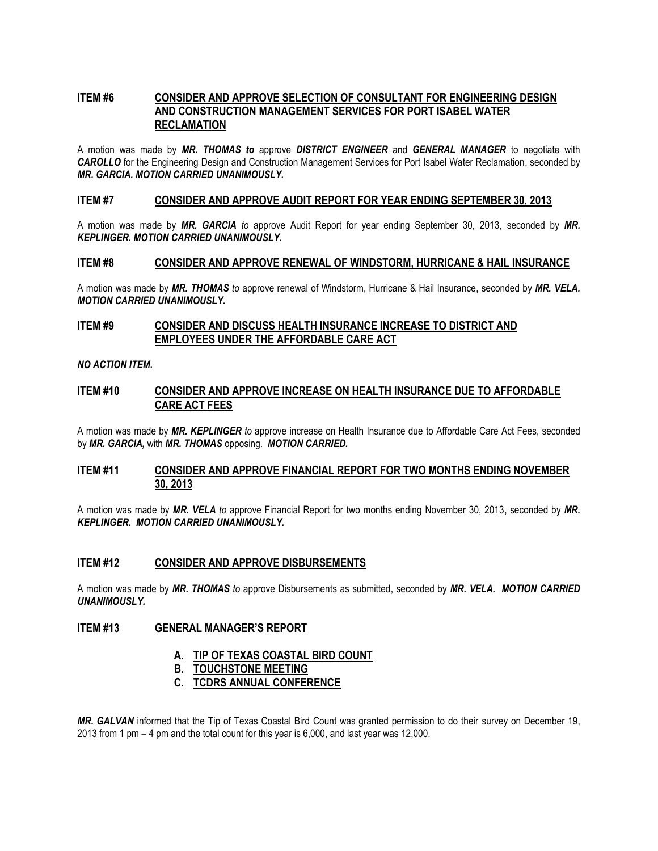### **ITEM #6 CONSIDER AND APPROVE SELECTION OF CONSULTANT FOR ENGINEERING DESIGN AND CONSTRUCTION MANAGEMENT SERVICES FOR PORT ISABEL WATER RECLAMATION**

A motion was made by *MR. THOMAS to* approve *DISTRICT ENGINEER* and *GENERAL MANAGER* to negotiate with *CAROLLO* for the Engineering Design and Construction Management Services for Port Isabel Water Reclamation, seconded by *MR. GARCIA. MOTION CARRIED UNANIMOUSLY.* 

#### **ITEM #7 CONSIDER AND APPROVE AUDIT REPORT FOR YEAR ENDING SEPTEMBER 30, 2013**

A motion was made by *MR. GARCIA to* approve Audit Report for year ending September 30, 2013, seconded by *MR. KEPLINGER. MOTION CARRIED UNANIMOUSLY.*

#### **ITEM #8 CONSIDER AND APPROVE RENEWAL OF WINDSTORM, HURRICANE & HAIL INSURANCE**

A motion was made by *MR. THOMAS to* approve renewal of Windstorm, Hurricane & Hail Insurance, seconded by *MR. VELA. MOTION CARRIED UNANIMOUSLY.*

### **ITEM #9 CONSIDER AND DISCUSS HEALTH INSURANCE INCREASE TO DISTRICT AND EMPLOYEES UNDER THE AFFORDABLE CARE ACT**

*NO ACTION ITEM.* 

#### **ITEM #10 CONSIDER AND APPROVE INCREASE ON HEALTH INSURANCE DUE TO AFFORDABLE CARE ACT FEES**

A motion was made by *MR. KEPLINGER to* approve increase on Health Insurance due to Affordable Care Act Fees, seconded by *MR. GARCIA,* with *MR. THOMAS* opposing. *MOTION CARRIED.*

### **ITEM #11 CONSIDER AND APPROVE FINANCIAL REPORT FOR TWO MONTHS ENDING NOVEMBER 30, 2013**

A motion was made by *MR. VELA to* approve Financial Report for two months ending November 30, 2013, seconded by *MR. KEPLINGER. MOTION CARRIED UNANIMOUSLY.*

#### **ITEM #12 CONSIDER AND APPROVE DISBURSEMENTS**

A motion was made by *MR. THOMAS to* approve Disbursements as submitted, seconded by *MR. VELA. MOTION CARRIED UNANIMOUSLY.*

### **ITEM #13 GENERAL MANAGER'S REPORT**

- **A. TIP OF TEXAS COASTAL BIRD COUNT**
- **B. TOUCHSTONE MEETING**
- **C. TCDRS ANNUAL CONFERENCE**

*MR. GALVAN* informed that the Tip of Texas Coastal Bird Count was granted permission to do their survey on December 19, 2013 from 1 pm – 4 pm and the total count for this year is 6,000, and last year was 12,000.